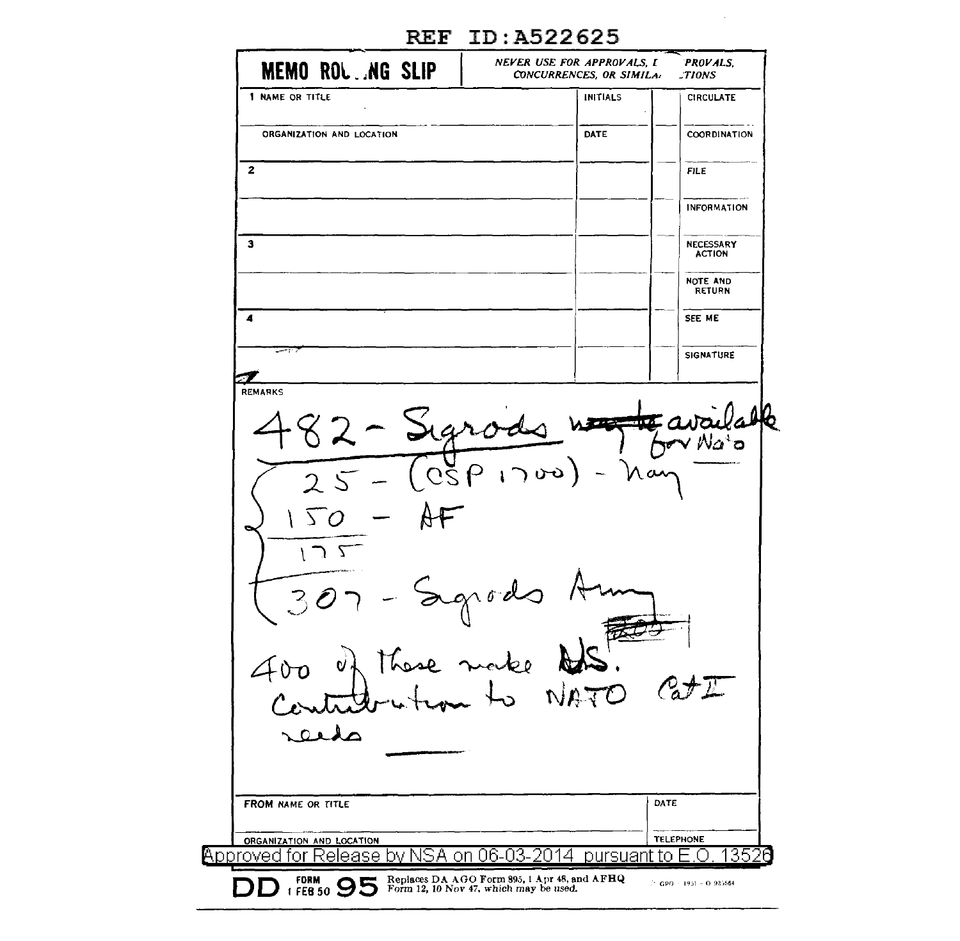| <b>MEMO ROL.NG SLIP</b>                             | NEVER USE FOR APPROVALS, I<br>CONCURRENCES, OR SIMILA: | <b>PROVALS.</b><br>TIONS   |
|-----------------------------------------------------|--------------------------------------------------------|----------------------------|
| 1 NAME OR TITLE                                     | <b>INITIALS</b>                                        | <b>CIRCULATE</b>           |
| ORGANIZATION AND LOCATION                           | DATE                                                   | COORDINATION               |
| $\mathbf{2}$                                        |                                                        | <b>FILE</b>                |
|                                                     |                                                        | <b>INFORMATION</b>         |
| з                                                   |                                                        | NECESSARY<br><b>ACTION</b> |
|                                                     |                                                        | NOTE AND<br>RETURN         |
| 4                                                   |                                                        | SEE ME                     |
| وللبست                                              |                                                        | <b>SIGNATURE</b>           |
| <b>REMARKS</b><br>482 - Sigrado<br>$25 - (0591700)$ | $\overline{1}$<br>nar                                  | Na <sub>b</sub>            |
| 50<br>צ ר<br>these make &<br>$\mathbf{v}$ ,         | Segrado 1                                              |                            |
|                                                     |                                                        | DATE                       |
| FROM NAME OR TITLE                                  |                                                        | <b>TELEPHONE</b>           |

## REF ID:A522625